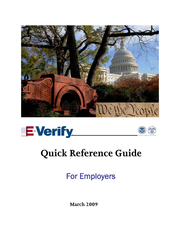





# **Quick Reference Guide**

For Employers

**March 2009**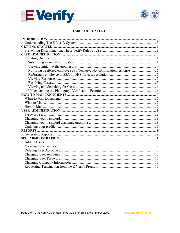



## **TABLE OF CONTENTS**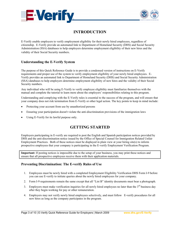<span id="page-2-0"></span>



# **INTRODUCTION**

E-Verify enable employers to verify employment eligibility for their newly hired employees, regardless of citizenship. E-Verify provide an automated link to Department of Homeland Security (DHS) and Social Security Administration (SSA) databases to help employers determine employment eligibility of their new hires and the validity of their Social Security numbers.

## **Understanding the E-Verify System**

The purpose of this Quick Reference Guide is to provide a condensed version of instructions on E-Verify requirements and proper use of the system to verify employment eligibility of your newly hired employees. E-Verify provides an automated link to Department of Homeland Security (DHS) and Social Security Administration (SSA) databases to help employers determine employment eligibility of new hires and the validity of their Social Security numbers.

Any individual who will be using E-Verify to verify employee eligibility must familiarize themselves with the manual and complete the tutorial to learn more about the employers' responsibilities relating to this program.

Understanding and complying with the E-Verify rules is essential to the success of the program, and will ensure that your company does not risk termination from E-Verify or other legal action. The key points to keep in mind include:

- Protecting your account from use by unauthorized persons
- x Ensuring your participation doesn't violate the anti-discrimination provisions of the immigration laws
- Using E-Verify for its lawful purpose only.

# **GETTING STARTED**

Employers participating in E-verify are required to post the English and Spanish participation notices provided by DHS and the anti-discrimination notice issued by the Office of Special Counsel for Immigration Related Unfair Employment Practices. Both of these notices must be displayed in plain view at your hiring site(s) to inform prospective employees that your company is participating in the E-verify Employment Verification Program.

**Important:** If posting notices is impossible due to the setup of your business, you may print these notices and ensure that all prospective employees receive them with their application materials.

### **Preventing Discrimination: The E-verify Rules of Use**

- 1. Employees must be newly hired with a completed Employment Eligibility Verification DHS Form I-9 before you can use E-verify to initiate queries about the newly hired employees for your company.
- 2. Form I-9 requirements remain the same except that all "List B" identity documents must bear a photograph.
- 3. Employers must make verification inquiries for all newly hired employees no later than the 3<sup>rd</sup> business day after they begin working for pay or other remuneration.
- 4. Employers may not verify newly hired employees selectively, and must follow E-verify procedures for all new hires as long as the company participates in the program.

l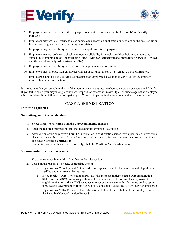<span id="page-3-0"></span>



- 5. Employers may not request that the employee use certain documentation for the form I-9 or E-verify purposes.
- 6. Employers may not use E-verify to discriminate against any job application or new hire on the basis of his or her national origin, citizenship, or immigration status.
- 7. Employers may not use the system to pre-screen applicants for employment.
- 8. Employers may not go back to check employment eligibility for employees hired before your company signed the Memorandum of Understanding (MOU) with U.S. citizenship and Immigration Services (USCIS) and the Social Security Administration (SSA).
- 9. Employers may not use the system to re-verify employment authorization.
- 10. Employers must provide their employees with an opportunity to contest a Tentative Nonconfirmation.
- 11. Employers cannot take any adverse action against an employee based upon E-verify unless the program issues a final nonconfirmation.

It is important that you comply with all of the requirements you agreed to when you were given access to E-Verify. If you fail to do so, you may wrongly terminate, suspend, or otherwise unlawfully discriminate against an employee, which could result in civil legal action against you. Your participation in the program could also be terminated.

## **CASE ADMINISTRATION**

#### **Initiating Queries**

l

#### **Submitting an initial verification**

- 1. Select **Initial Verification** from the **Case Administration** menu.
- 2. Enter the required information, and include other information if available.
- 3. After you enter the employee's Form I-9 information, a confirmation screen may appear which gives you a chance to review for errors. If any information has been entered incorrectly, make necessary corrections and select **Continue Verification**. If all information has been entered correctly, click the **Continue Verification** button.

#### **Viewing initial verification results**

- 1. View the response in the Initial Verification Results section.
- 2. Based on the response type, take appropriate action:
	- a. If you receive "Employment Authorized" this response indicates that employment eligibility is verified and the case can be resolved.
	- b. If you receive "DHS Verification in Process" this response indicates that a DHS Immigration Status Verifier (ISV) is checking additional DHS data sources to confirm the employment eligibility of a non-citizen. DHS responds to most of these cases within 24-hours, but has up to three federal government workdays to respond. You should check the system daily for a response.
	- c. If you receive "SSA Tentative Nonconfirmation" follow the steps below. If the employee contests the Tentative Nonconfirmation Proceed.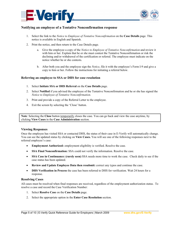<span id="page-4-0"></span>



## **Notifying an employee of a Tentative Nonconfirmation response**

- 1. Select the link to the *Notice to Employee of Tentative Nonconfirmation* on the **Case Details** page. This notice is available in English and Spanish.
- 2. Print the notice, and then return to the Case Details page.
	- a. Give the employee a copy of the *Notice to Employee of Tentative Nonconfirmation* and review it with him or her. Explain that he or she must contest the Tentative Nonconfirmation or risk the declining and/or withdrawal of the certification or referral. The employee must indicate on the notice whether he or she contests.
	- b. After both you and the employee sign the *Notice*, file it with the employee's Form I-9 and give a copy to him or her. Follow the instructions for initiating a referral below.

#### **Referring an employee to SSA or DHS for case resolution**

- 1. Select **Initiate SSA or DHS Referral** on the **Case Details** page.
- 2. Select **Notified** if you advised the employee of the Tentative Nonconfirmation and he or she has signed the *Notice to Employee of Tentative Nonconfirmation*.
- 3. Print and provide a copy of the Referral Letter to the employee.
- 4. Exit the screen by selecting the 'Close' button.

Note: Selecting the **Close** button temporarily closes the case. You can go back and view the case anytime, by clicking **View Cases** in the **Case Administration** section.

#### **Viewing Responses**

Once the employee has visited SSA or contacted DHS, the status of their case in E-Verify will automatically change. You can see the updated status by clicking on **View Cases.** You will see one of the following responses next to the referred employee's case:

- **Employment Authorized:** employment eligibility is verified. Resolve the case.
- **SSA Final Nonconfirmation:** SSA could not verify the information. Resolve the case.
- **SSA Case in Continuance: (rarely seen) SSA** needs more time to work the case. Check daily to see if the case status has been updated.
- **Review and Update Employee Data then resubmit:** correct any typos and continue the case.
- x **DHS Verification in Process** the case has been referred to DHS for verification. Wait 24 hours for a response.

#### **Resolving Cases**

l

All cases must be resolved when final responses are received, regardless of the employment authorization status. To resolve a case and record the Case Verification Number:

- 1. Select **Resolve Case** on the **Case Details** page.
- 2. Select the appropriate option in the **Enter Case Resolution** section.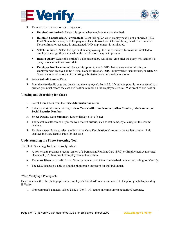<span id="page-5-0"></span>



- 3. There are five options for resolving a case:
	- x **Resolved Authorized:** Select this option when employment is authorized.
	- **Resolved Unauthorized/Terminated:** Select this option when employment is not authorized (SSA Final Nonconfirmation, DHS Employment Unauthorized, or DHS No Show), or when a Tentative Nonconfirmation response is uncontested AND employment is terminated.
	- Self Terminated: Select this option if an employee quits or is terminated for reasons unrelated to employment eligibility status while the verification query is in process.
	- **Invalid Query**: Select this option if a duplicate query was discovered after the query was sent or if a query was sent with incorrect data.
	- **Employee Not Terminated:** Select this option to notify DHS that you are not terminating an employee who received an SSA Final Nonconfirmation, DHS Employment Unauthorized, or DHS No Show response or who is not contesting a Tentative Nonconfirmation response.
- 4. Select **Submit Resolve Case.**
- 5. Print the case details page and attach it to the employee's Form I-9. If your computer is not connected to a printer, you must record the case verification number on the employee's Form I-9 as proof of verification.

#### **Viewing and Searching for Cases**

- 1. Select **View Cases** from the **Case Administration** menu.
- 2. Enter the desired search criteria, such as **Case Verification Number, Alien Number**, **I-94 Number**, or **Social Security Number**.
- 3. Select **Display Case Summary List** to display a list of cases.
- 4. The search results can be organized by different criteria, such as last name, by clicking on the column heading.
- 5. To view a specific case, select the link to the **Case Verification Number** in the far left column. This displays the Case Details Page for that case.

#### **Understanding the Photo Screening Tool**

The Photo Screening Tool occurs (only) when:

- x A **non-citizen** presents a recent version of a Permanent Resident Card (PRC) or Employment Authorized Document (EAD) as proof of employment authorization.
- The **non-citizen** has a valid Social Security number and Alien Number/I-94 number, according to E-Verify.
- The DHS database is able to find the photograph on record for that individual.

When Verifying a Photograph:

l

Determine whether the photograph on the employee's PRC/EAD is an exact match to the photograph displayed by E-Verify:

1. If photograph is a match, select **YES.** E-Verify will return an employment authorized response.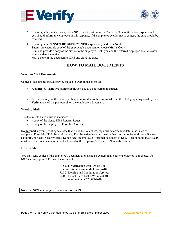<span id="page-6-0"></span>



- 2. If photograph is not a match, select **NO**. E-Verify will return a Tentative Nonconfirmation response and you should inform the employee of this response. If the employee decides not to contest, the case should be resolved.
- 3. If photograph **CANNOT BE DETERMINED**, explain why and click **Next**. Submit an electronic copy of the employee's document or choose **Mail a Copy**. Print and provide a copy of the Notice to the employee. Both you and the referred employee should review, sign and date the notice. Mail a copy of the document to DHS and close the case.

# **HOW TO MAIL DOCUMENTS**

#### **When to Mail Documents**

Copies of documents should **only** be mailed to DHS in the event of:

- x A **contested Tentative Nonconfirmation** due to a photograph mismatch
- x A case where you, the E-Verify User, were **unable to determine** whether the photograph displayed by E-Verify matched the photograph on the employee's document.

#### **What to Mail**

The documents listed must be included:

- a copy of the signed DHS Referral Letter
- x a copy of the employee's Form I-766 or I-551

**Do not mail** anything relating to a case that is not due to a photograph mismatch/cannot determine, such as completed Form I-9s, SSA Referral Letters, SSA Tentative Nonconfirmation Notices, or copies of driver's licenses, passports, or Social Security cards. Do not send an employee's original document to DHS. Keep in mind that USCIS must have this documentation in order to resolve the employee's Tentative Nonconfirmation.

#### **How to Mail**

l

You may send copies of the employee's documentation using an express mail courier service of your choice. Do NOT send via regular USPS mail. Please send to:

> Status Verification Unit / Photo Tool Verification Division Mail Stop 2610 US Citizenship and Immigration Services 490 L'Enfant Plaza East, SW Suite 8001, Washington DC 20529-2610

**Note**: Do **NOT** send original documents to USCIS.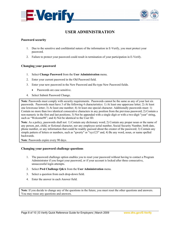<span id="page-7-0"></span>



# **USER ADMINISTRATION**

#### **Password security**

- 1. Due to the sensitive and confidential nature of the information in E-Verify, you must protect your password.
- 2. Failure to protect your password could result in termination of your participation in E-Verify.

#### **Changing your password**

- 1. Select **Change Password** from the **User Administration** menu.
- 2. Enter your current password in the Old Password field.
- 3. Enter your new password in the New Password and Re-type New Password fields.
	- Passwords are case sensitive.
- 4. Select Submit Password Change.

**Note**: Passwords must comply with security requirements. Passwords cannot be the same as any of your last six passwords. Passwords must have 3 of the following 4 characteristics: 1) At least one uppercase letter; 2) At least one lowercase letter; 3) At least one number; 4) At least one special character. Additionally passwords must: 1) Contain no more than two identical consecutive characters in any position from the previous password; 2) Contain a non-numeric in the first and last positions; 3) Not be appended with a single digit or with a two-digit "year" string, such as "Welcome98"; and 4) Not be identical to the User ID.

**Note**: As a policy, passwords shall not: 1) Contain any dictionary word; 2) Contain any proper noun or the name of any person, pet, child, or fictional character, nor any employee serial number, Social Security Number, birth date, phone number, or any information that could be readily guessed about the creator of the password; 3) Contain any simple pattern of letters or numbers, such as "qwerty" or "xyz123" and, 4) Be any word, noun, or name spelled backwards.

**Note**: Passwords expire every 90 days.

l

#### **Changing your password challenge questions**

- 1. The password challenge option enables you to reset your password without having to contact a Program Administrator if you forget your password, or if your account is locked after three consecutive, unsuccessful login attempts.
- 2. Select **Pwd Challenge Q&A** from the **User Administration** menu.
- 3. Select a question from each drop-down field.
- 4. Enter the answer in each Answer field.

**Note**: If you decide to change any of the questions in the future, you must reset the other questions and answers. You may reuse any questions and answers.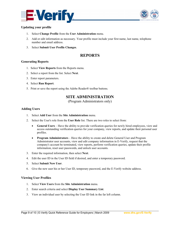<span id="page-8-0"></span>



#### **Updating your profile**

- 1. Select **Change Profile** from the **User Administration** menu.
- 2. Add or edit information as necessary. Your profile must include your first name, last name, telephone number and email address.
- 3. Select **Submit User Profile Changes**.

## **REPORTS**

#### **Generating Reports**

- 1. Select **View Reports** from the Reports menu.
- 2. Select a report from the list. Select **Next**.
- 3. Enter report parameters.
- 4. Select **Run Report**.
- 5. Print or save the report using the Adobe Reader® toolbar buttons.

## **SITE ADMINISTRATION**

(Program Administrators only)

#### **Adding Users**

- 1. Select **Add User** from the **Site Administration** menu.
- 2. Select the User's role from the **User Role** list. There are two roles to select from:
	- **•** General Users Have the ability to provide verification queries for newly hired employees, view and access outstanding verification queries for your company, view reports, and update their personal user profiles.
	- **Program Administrators** Have the ability to create and delete General User and Program Administrator user accounts, view and edit company information in E-Verify, request that the company's account be terminated, view reports, perform verification queries, update their profile information, reset user passwords, and unlock user accounts.
- 3. Enter the required information, then select **Next**.
- 4. Edit the user ID in the User ID field if desired, and enter a temporary password.
- 5. Select **Submit New User**.
- 6. Give the new user his or her User ID, temporary password, and the E-Verify website address.

#### **Viewing User Profiles**

l

- 1. Select **View Users** from the **Site Administration** menu.
- 2. Enter search criteria and select **Display User Summary List**.
- 3. View an individual user by selecting the User ID link in the far left column.